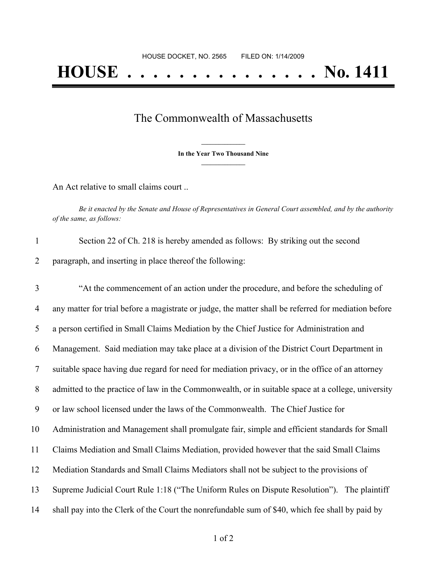## The Commonwealth of Massachusetts

**\_\_\_\_\_\_\_\_\_\_\_\_\_\_\_ In the Year Two Thousand Nine \_\_\_\_\_\_\_\_\_\_\_\_\_\_\_**

An Act relative to small claims court ..

Be it enacted by the Senate and House of Representatives in General Court assembled, and by the authority *of the same, as follows:*

| Section 22 of Ch. 218 is hereby amended as follows: By striking out the second |  |
|--------------------------------------------------------------------------------|--|
| paragraph, and inserting in place thereof the following:                       |  |

 "At the commencement of an action under the procedure, and before the scheduling of any matter for trial before a magistrate or judge, the matter shall be referred for mediation before a person certified in Small Claims Mediation by the Chief Justice for Administration and Management. Said mediation may take place at a division of the District Court Department in suitable space having due regard for need for mediation privacy, or in the office of an attorney admitted to the practice of law in the Commonwealth, or in suitable space at a college, university or law school licensed under the laws of the Commonwealth. The Chief Justice for Administration and Management shall promulgate fair, simple and efficient standards for Small Claims Mediation and Small Claims Mediation, provided however that the said Small Claims Mediation Standards and Small Claims Mediators shall not be subject to the provisions of Supreme Judicial Court Rule 1:18 ("The Uniform Rules on Dispute Resolution"). The plaintiff shall pay into the Clerk of the Court the nonrefundable sum of \$40, which fee shall by paid by